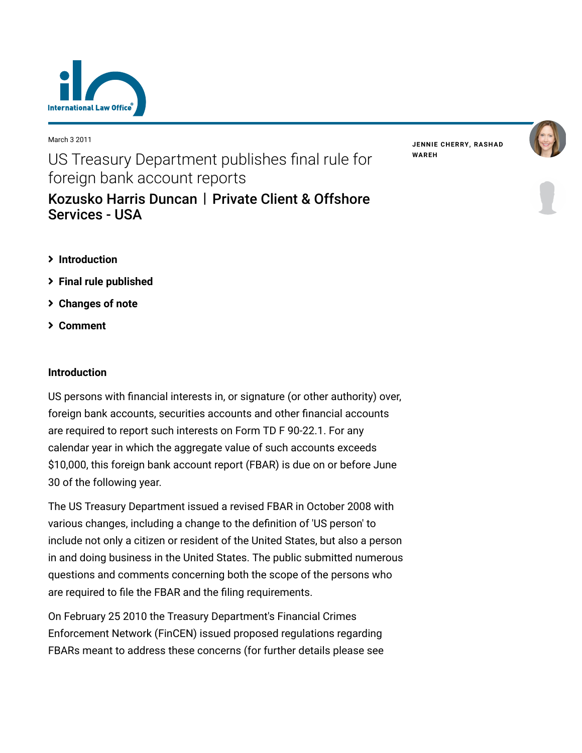

March 3 2011

US Treasury Department publishes final rule for foreign bank account reports [Kozusko Harris Duncan](https://www.lexology.com/contributors/23364) | Private Client & Offshore

**JENNIE [CHERRY](https://www.lexology.com/23364/author/Jennie_Cherry/)[,](https://www.lexology.com/23364/author/Rashad_Wareh/) RASHAD WAREH**



- **[Introduction](#page-0-0)**
- **[Final rule published](#page-1-0)**

Services - USA

- **[Changes of note](#page-1-1)**
- **[Comment](#page-2-0)**

## <span id="page-0-0"></span>**Introduction**

US persons with financial interests in, or signature (or other authority) over, foreign bank accounts, securities accounts and other financial accounts are required to report such interests on Form TD F 90-22.1. For any calendar year in which the aggregate value of such accounts exceeds \$10,000, this foreign bank account report (FBAR) is due on or before June 30 of the following year.

The US Treasury Department issued a revised FBAR in October 2008 with various changes, including a change to the definition of 'US person' to include not only a citizen or resident of the United States, but also a person in and doing business in the United States. The public submitted numerous questions and comments concerning both the scope of the persons who are required to file the FBAR and the filing requirements.

On February 25 2010 the Treasury Department's Financial Crimes Enforcement Network (FinCEN) issued proposed regulations regarding FBARs meant to address these concerns (for further details please see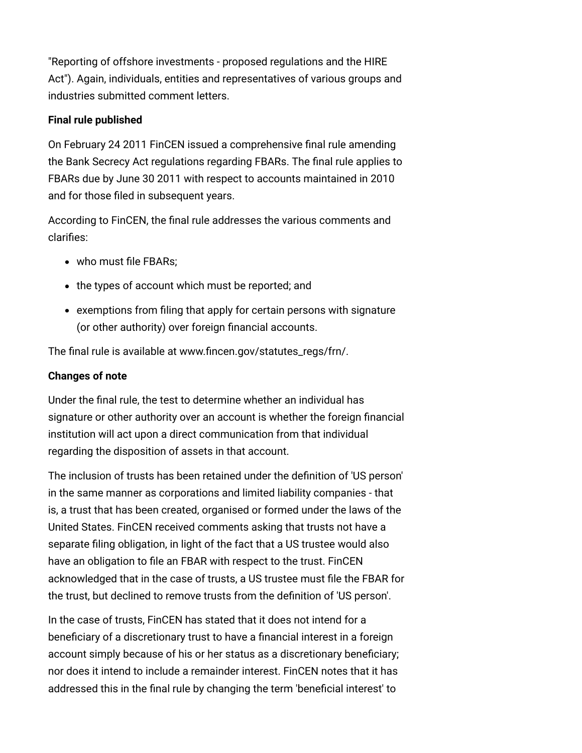"Reporting of offshore investments - proposed regulations and the HIRE [Act"\). Again, individuals, entities and representatives of various groups a](http://www.internationallawoffice.com/newsletters/Detail.aspx?g=8ef13c29-ba12-4824-85ab-bde320468b1d)nd industries submitted comment letters.

## <span id="page-1-0"></span>**Final rule published**

On February 24 2011 FinCEN issued a comprehensive final rule amending the Bank Secrecy Act regulations regarding FBARs. The final rule applies to FBARs due by June 30 2011 with respect to accounts maintained in 2010 and for those filed in subsequent years.

According to FinCEN, the final rule addresses the various comments and clarifies:

- who must file FBARs:
- the types of account which must be reported; and
- exemptions from filing that apply for certain persons with signature (or other authority) over foreign financial accounts.

The final rule is available at [www.fincen.gov/statutes\\_regs/frn/](http://www.fincen.gov/statutes_regs/frn/).

## <span id="page-1-1"></span>**Changes of note**

Under the final rule, the test to determine whether an individual has signature or other authority over an account is whether the foreign financial institution will act upon a direct communication from that individual regarding the disposition of assets in that account.

The inclusion of trusts has been retained under the definition of 'US person' in the same manner as corporations and limited liability companies - that is, a trust that has been created, organised or formed under the laws of the United States. FinCEN received comments asking that trusts not have a separate filing obligation, in light of the fact that a US trustee would also have an obligation to file an FBAR with respect to the trust. FinCEN acknowledged that in the case of trusts, a US trustee must file the FBAR for the trust, but declined to remove trusts from the definition of 'US person'.

In the case of trusts, FinCEN has stated that it does not intend for a beneficiary of a discretionary trust to have a financial interest in a foreign account simply because of his or her status as a discretionary beneficiary; nor does it intend to include a remainder interest. FinCEN notes that it has addressed this in the final rule by changing the term 'beneficial interest' to